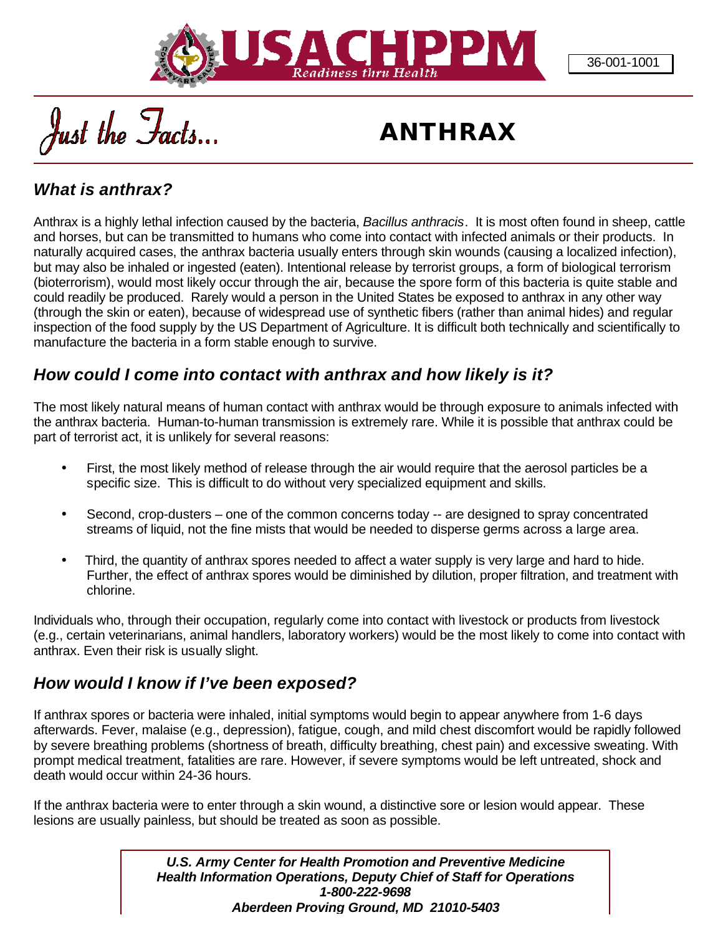

Just the Facts

# *ANTHRAX*

## *What is anthrax?*

Anthrax is a highly lethal infection caused by the bacteria, *Bacillus anthracis*. It is most often found in sheep, cattle and horses, but can be transmitted to humans who come into contact with infected animals or their products. In naturally acquired cases, the anthrax bacteria usually enters through skin wounds (causing a localized infection), but may also be inhaled or ingested (eaten). Intentional release by terrorist groups, a form of biological terrorism (bioterrorism), would most likely occur through the air, because the spore form of this bacteria is quite stable and could readily be produced. Rarely would a person in the United States be exposed to anthrax in any other way (through the skin or eaten), because of widespread use of synthetic fibers (rather than animal hides) and regular inspection of the food supply by the US Department of Agriculture. It is difficult both technically and scientifically to manufacture the bacteria in a form stable enough to survive.

## *How could I come into contact with anthrax and how likely is it?*

The most likely natural means of human contact with anthrax would be through exposure to animals infected with the anthrax bacteria. Human-to-human transmission is extremely rare. While it is possible that anthrax could be part of terrorist act, it is unlikely for several reasons:

- First, the most likely method of release through the air would require that the aerosol particles be a specific size. This is difficult to do without very specialized equipment and skills.
- Second, crop-dusters one of the common concerns today -- are designed to spray concentrated streams of liquid, not the fine mists that would be needed to disperse germs across a large area.
- Third, the quantity of anthrax spores needed to affect a water supply is very large and hard to hide. Further, the effect of anthrax spores would be diminished by dilution, proper filtration, and treatment with chlorine.

Individuals who, through their occupation, regularly come into contact with livestock or products from livestock (e.g., certain veterinarians, animal handlers, laboratory workers) would be the most likely to come into contact with anthrax. Even their risk is usually slight.

#### *How would I know if I've been exposed?*

If anthrax spores or bacteria were inhaled, initial symptoms would begin to appear anywhere from 1-6 days afterwards. Fever, malaise (e.g., depression), fatigue, cough, and mild chest discomfort would be rapidly followed by severe breathing problems (shortness of breath, difficulty breathing, chest pain) and excessive sweating. With prompt medical treatment, fatalities are rare. However, if severe symptoms would be left untreated, shock and death would occur within 24-36 hours.

If the anthrax bacteria were to enter through a skin wound, a distinctive sore or lesion would appear. These lesions are usually painless, but should be treated as soon as possible.

> *U.S. Army Center for Health Promotion and Preventive Medicine Health Information Operations, Deputy Chief of Staff for Operations 1-800-222-9698 Aberdeen Proving Ground, MD 21010-5403*